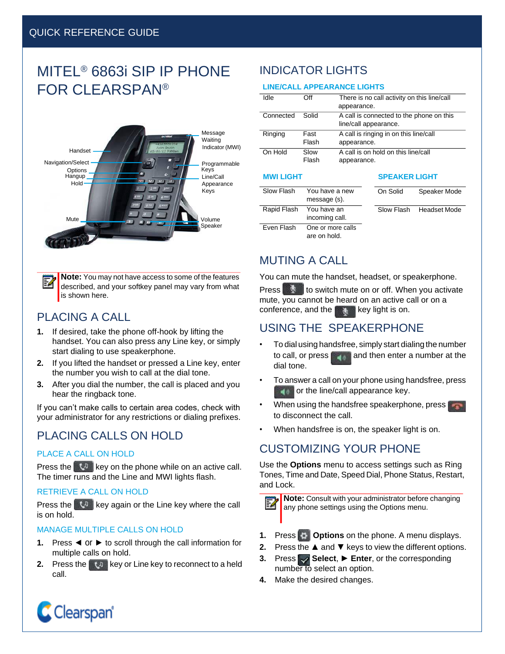# MITEL® 6863i SIP IP PHONE FOR CLEARSPAN®



**Note:** You may not have access to some of the features described, and your softkey panel may vary from what is shown here.

# PLACING A CALL

- **1.** If desired, take the phone off-hook by lifting the handset. You can also press any Line key, or simply start dialing to use speakerphone.
- **2.** If you lifted the handset or pressed a Line key, enter the number you wish to call at the dial tone.
- **3.** After you dial the number, the call is placed and you hear the ringback tone.

If you can't make calls to certain area codes, check with your administrator for any restrictions or dialing prefixes.

### PLACING CALLS ON HOLD

#### PLACE A CALL ON HOLD

Press the  $\mathbb{R}^n$  key on the phone while on an active call. The timer runs and the Line and MWI lights flash.

#### RETRIEVE A CALL ON HOLD

Press the  $\mathbb{R}^n$  key again or the Line key where the call is on hold.

#### MANAGE MULTIPLE CALLS ON HOLD

- **1.** Press ◄ or ► to scroll through the call information for multiple calls on hold.
- **2.** Press the **key or Line key to reconnect to a held** call.

### INDICATOR LIGHTS

#### **LINE/CALL APPEARANCE LIGHTS**

incoming call.

are on hold.

| Idle             | Off                            | There is no call activity on this line/call<br>appearance.        |                                     |                     |  |
|------------------|--------------------------------|-------------------------------------------------------------------|-------------------------------------|---------------------|--|
| Connected        | Solid                          | A call is connected to the phone on this<br>line/call appearance. |                                     |                     |  |
| Ringing          | Fast<br>Flash                  | A call is ringing in on this line/call<br>appearance.             |                                     |                     |  |
| On Hold          | Slow<br>Flash                  | appearance.                                                       | A call is on hold on this line/call |                     |  |
| <b>MWI LIGHT</b> |                                |                                                                   | <b>SPEAKER LIGHT</b>                |                     |  |
| Slow Flash       | You have a new<br>message (s). |                                                                   | On Solid                            | Speaker Mode        |  |
| Rapid Flash      | You have an                    |                                                                   | Slow Flash                          | <b>Headset Mode</b> |  |

MUTING A CALL

Even Flash One or more calls

You can mute the handset, headset, or speakerphone.

Press to switch mute on or off. When you activate mute, you cannot be heard on an active call or on a conference, and the  $k$  key light is on.

### USING THE SPEAKERPHONE

- To dial using handsfree, simply start dialing the number to call, or press **and and then enter a number at the** dial tone.
- To answer a call on your phone using handsfree, press **Figure 1** or the line/call appearance key.
- When using the handsfree speakerphone, press to disconnect the call.
- When handsfree is on, the speaker light is on.

### CUSTOMIZING YOUR PHONE

Use the **Options** menu to access settings such as Ring Tones, Time and Date, Speed Dial, Phone Status, Restart, and Lock.



**Note:** Consult with your administrator before changing any phone settings using the Options menu.

- 1. Press  $\bullet$  **Options** on the phone. A menu displays.
- **2.** Press the ▲ and ▼ keys to view the different options.
- **3.** Press  $\cdot$  **Select**, ► **Enter**, or the corresponding number to select an option.
- **4.** Make the desired changes.